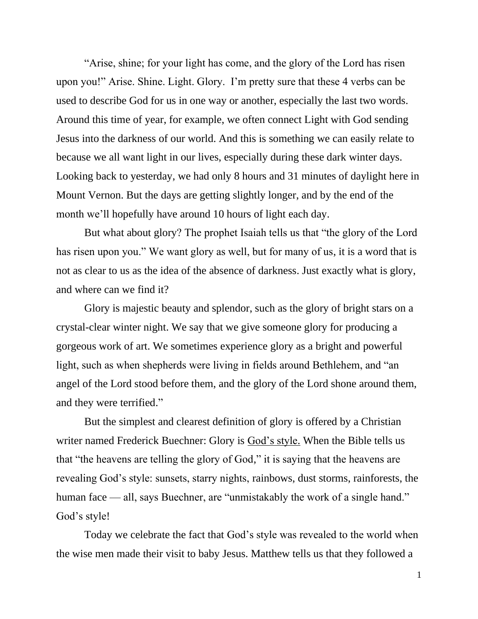"Arise, shine; for your light has come, and the glory of the Lord has risen upon you!" Arise. Shine. Light. Glory. I'm pretty sure that these 4 verbs can be used to describe God for us in one way or another, especially the last two words. Around this time of year, for example, we often connect Light with God sending Jesus into the darkness of our world. And this is something we can easily relate to because we all want light in our lives, especially during these dark winter days. Looking back to yesterday, we had only 8 hours and 31 minutes of daylight here in Mount Vernon. But the days are getting slightly longer, and by the end of the month we'll hopefully have around 10 hours of light each day.

But what about glory? The prophet Isaiah tells us that "the glory of the Lord has risen upon you." We want glory as well, but for many of us, it is a word that is not as clear to us as the idea of the absence of darkness. Just exactly what is glory, and where can we find it?

Glory is majestic beauty and splendor, such as the glory of bright stars on a crystal-clear winter night. We say that we give someone glory for producing a gorgeous work of art. We sometimes experience glory as a bright and powerful light, such as when shepherds were living in fields around Bethlehem, and "an angel of the Lord stood before them, and the glory of the Lord shone around them, and they were terrified."

But the simplest and clearest definition of glory is offered by a Christian writer named Frederick Buechner: Glory is God's style. When the Bible tells us that "the heavens are telling the glory of God," it is saying that the heavens are revealing God's style: sunsets, starry nights, rainbows, dust storms, rainforests, the human face — all, says Buechner, are "unmistakably the work of a single hand." God's style!

Today we celebrate the fact that God's style was revealed to the world when the wise men made their visit to baby Jesus. Matthew tells us that they followed a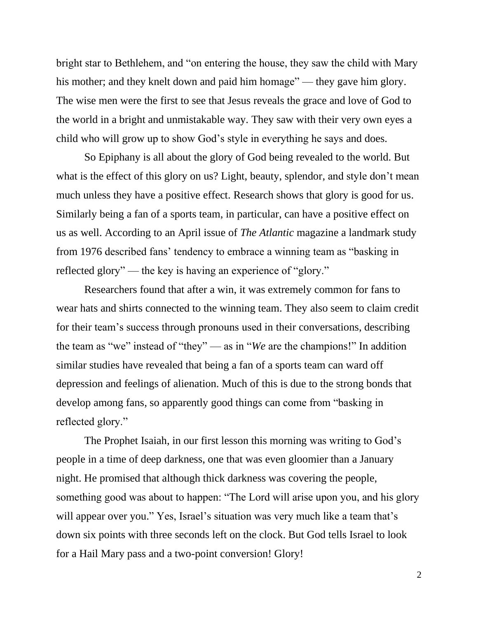bright star to Bethlehem, and "on entering the house, they saw the child with Mary his mother; and they knelt down and paid him homage" — they gave him glory. The wise men were the first to see that Jesus reveals the grace and love of God to the world in a bright and unmistakable way. They saw with their very own eyes a child who will grow up to show God's style in everything he says and does.

So Epiphany is all about the glory of God being revealed to the world. But what is the effect of this glory on us? Light, beauty, splendor, and style don't mean much unless they have a positive effect. Research shows that glory is good for us. Similarly being a fan of a sports team, in particular, can have a positive effect on us as well. According to an April issue of *The Atlantic* magazine a landmark study from 1976 described fans' tendency to embrace a winning team as "basking in reflected glory" — the key is having an experience of "glory."

Researchers found that after a win, it was extremely common for fans to wear hats and shirts connected to the winning team. They also seem to claim credit for their team's success through pronouns used in their conversations, describing the team as "we" instead of "they" — as in "*We* are the champions!" In addition similar studies have revealed that being a fan of a sports team can ward off depression and feelings of alienation. Much of this is due to the strong bonds that develop among fans, so apparently good things can come from "basking in reflected glory."

The Prophet Isaiah, in our first lesson this morning was writing to God's people in a time of deep darkness, one that was even gloomier than a January night. He promised that although thick darkness was covering the people, something good was about to happen: "The Lord will arise upon you, and his glory will appear over you." Yes, Israel's situation was very much like a team that's down six points with three seconds left on the clock. But God tells Israel to look for a Hail Mary pass and a two-point conversion! Glory!

2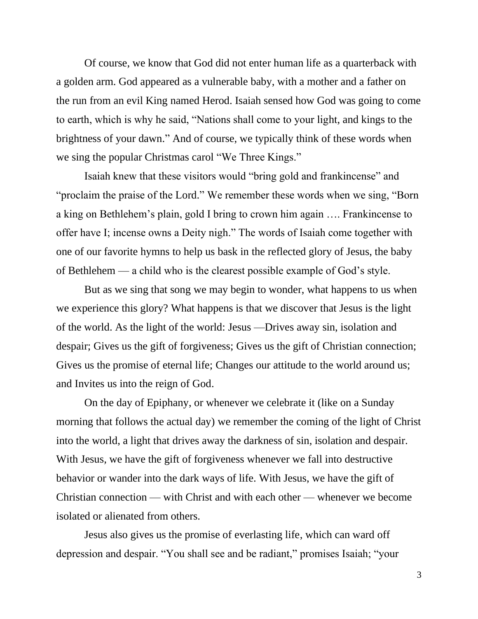Of course, we know that God did not enter human life as a quarterback with a golden arm. God appeared as a vulnerable baby, with a mother and a father on the run from an evil King named Herod. Isaiah sensed how God was going to come to earth, which is why he said, "Nations shall come to your light, and kings to the brightness of your dawn." And of course, we typically think of these words when we sing the popular Christmas carol "We Three Kings."

Isaiah knew that these visitors would "bring gold and frankincense" and "proclaim the praise of the Lord." We remember these words when we sing, "Born a king on Bethlehem's plain, gold I bring to crown him again …. Frankincense to offer have I; incense owns a Deity nigh." The words of Isaiah come together with one of our favorite hymns to help us bask in the reflected glory of Jesus, the baby of Bethlehem — a child who is the clearest possible example of God's style.

But as we sing that song we may begin to wonder, what happens to us when we experience this glory? What happens is that we discover that Jesus is the light of the world. As the light of the world: Jesus —Drives away sin, isolation and despair; Gives us the gift of forgiveness; Gives us the gift of Christian connection; Gives us the promise of eternal life; Changes our attitude to the world around us; and Invites us into the reign of God.

On the day of Epiphany, or whenever we celebrate it (like on a Sunday morning that follows the actual day) we remember the coming of the light of Christ into the world, a light that drives away the darkness of sin, isolation and despair. With Jesus*,* we have the gift of forgiveness whenever we fall into destructive behavior or wander into the dark ways of life. With Jesus, we have the gift of Christian connection — with Christ and with each other — whenever we become isolated or alienated from others.

Jesus also gives us the promise of everlasting life, which can ward off depression and despair. "You shall see and be radiant," promises Isaiah; "your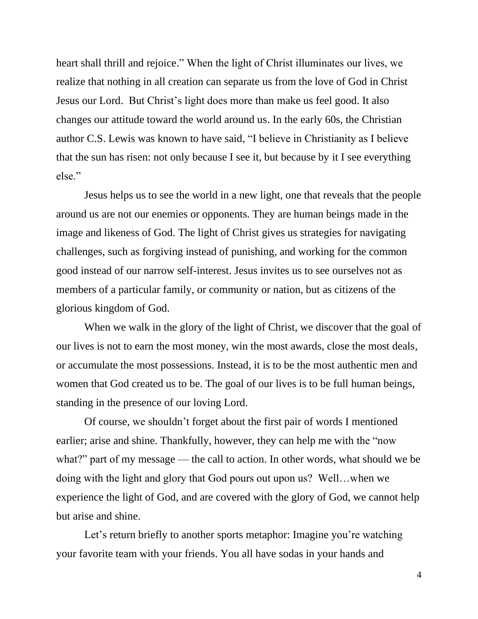heart shall thrill and rejoice." When the light of Christ illuminates our lives, we realize that nothing in all creation can separate us from the love of God in Christ Jesus our Lord. But Christ's light does more than make us feel good. It also changes our attitude toward the world around us. In the early 60s, the Christian author C.S. Lewis was known to have said, "I believe in Christianity as I believe that the sun has risen: not only because I see it, but because by it I see everything else."

Jesus helps us to see the world in a new light, one that reveals that the people around us are not our enemies or opponents. They are human beings made in the image and likeness of God. The light of Christ gives us strategies for navigating challenges, such as forgiving instead of punishing, and working for the common good instead of our narrow self-interest. Jesus invites us to see ourselves not as members of a particular family, or community or nation, but as citizens of the glorious kingdom of God.

When we walk in the glory of the light of Christ, we discover that the goal of our lives is not to earn the most money, win the most awards, close the most deals, or accumulate the most possessions. Instead, it is to be the most authentic men and women that God created us to be. The goal of our lives is to be full human beings, standing in the presence of our loving Lord.

Of course, we shouldn't forget about the first pair of words I mentioned earlier; arise and shine. Thankfully, however, they can help me with the "now what?" part of my message — the call to action. In other words, what should we be doing with the light and glory that God pours out upon us? Well…when we experience the light of God, and are covered with the glory of God, we cannot help but arise and shine.

Let's return briefly to another sports metaphor: Imagine you're watching your favorite team with your friends. You all have sodas in your hands and